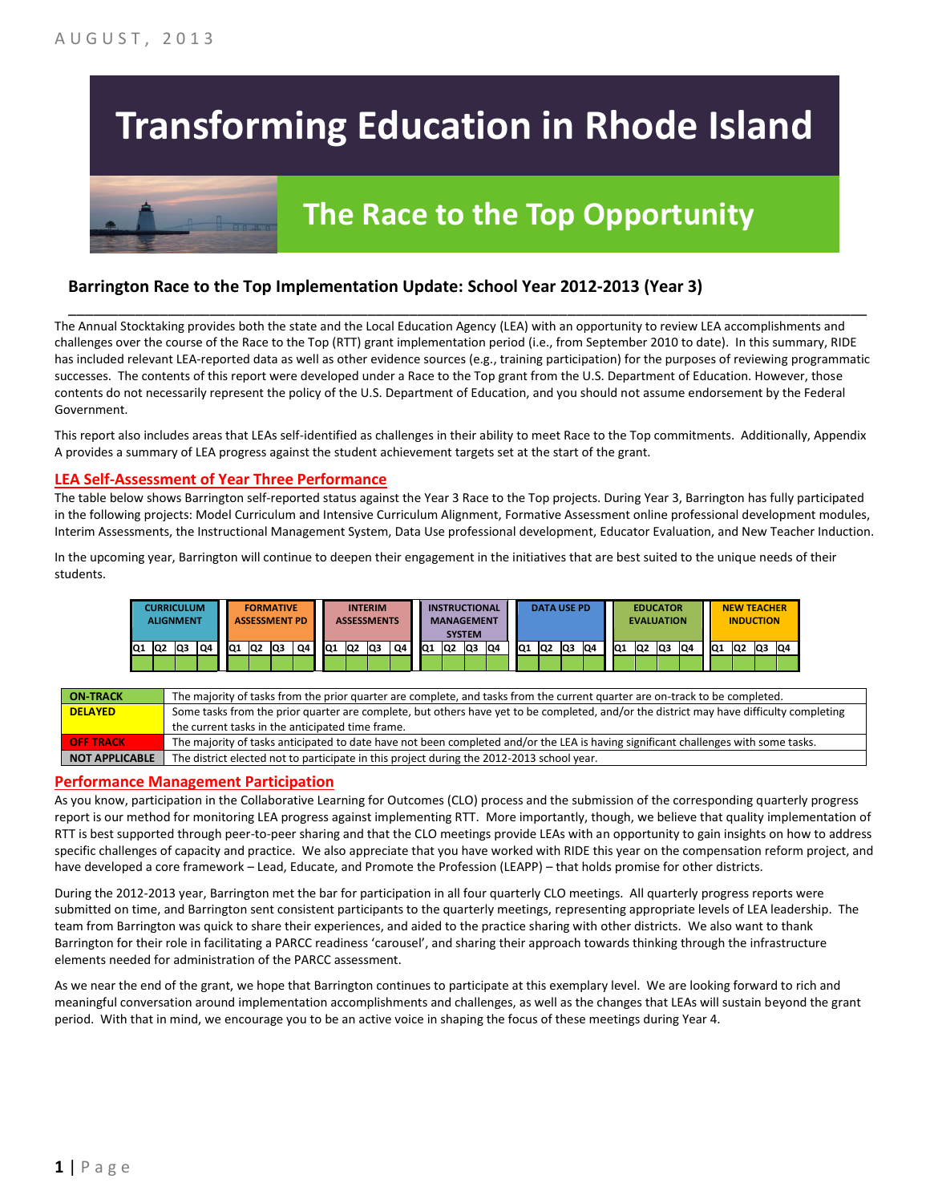# **Transforming Education in Rhode Island**

## **The Race to the Top Opportunity**

#### **Barrington Race to the Top Implementation Update: School Year 2012-2013 (Year 3)**

The Annual Stocktaking provides both the state and the Local Education Agency (LEA) with an opportunity to review LEA accomplishments and challenges over the course of the Race to the Top (RTT) grant implementation period (i.e., from September 2010 to date). In this summary, RIDE has included relevant LEA-reported data as well as other evidence sources (e.g., training participation) for the purposes of reviewing programmatic successes. The contents of this report were developed under a Race to the Top grant from the U.S. Department of Education. However, those contents do not necessarily represent the policy of the U.S. Department of Education, and you should not assume endorsement by the Federal Government.

\_\_\_\_\_\_\_\_\_\_\_\_\_\_\_\_\_\_\_\_\_\_\_\_\_\_\_\_\_\_\_\_\_\_\_\_\_\_\_\_\_\_\_\_\_\_\_\_\_\_\_\_\_\_\_\_\_\_\_\_\_\_\_\_\_\_\_\_\_\_\_\_\_\_\_\_\_\_\_\_\_\_\_\_\_\_\_\_\_\_\_\_\_\_\_\_

This report also includes areas that LEAs self-identified as challenges in their ability to meet Race to the Top commitments. Additionally, Appendix A provides a summary of LEA progress against the student achievement targets set at the start of the grant.

#### **LEA Self-Assessment of Year Three Performance**

The table below shows Barrington self-reported status against the Year 3 Race to the Top projects. During Year 3, Barrington has fully participated in the following projects: Model Curriculum and Intensive Curriculum Alignment, Formative Assessment online professional development modules, Interim Assessments, the Instructional Management System, Data Use professional development, Educator Evaluation, and New Teacher Induction.

In the upcoming year, Barrington will continue to deepen their engagement in the initiatives that are best suited to the unique needs of their students.

|    | <b>CURRICULUM</b><br><b>ALIGNMENT</b> |     |    |     |                 | <b>FORMATIVE</b><br><b>ASSESSMENT PD</b> |    |     |                | <b>INTERIM</b><br><b>ASSESSMENTS</b> |    |                 |                | <b>INSTRUCTIONAL</b><br><b>MANAGEMENT</b><br><b>SYSTEM</b> |    |                 | <b>DATA USE PD</b> |     |    |                 | <b>EVALUATION</b> | <b>EDUCATOR</b> |    |                 | <b>NEW TEACHER</b><br><b>INDUCTION</b> |     |    |
|----|---------------------------------------|-----|----|-----|-----------------|------------------------------------------|----|-----|----------------|--------------------------------------|----|-----------------|----------------|------------------------------------------------------------|----|-----------------|--------------------|-----|----|-----------------|-------------------|-----------------|----|-----------------|----------------------------------------|-----|----|
| Q1 | Q <sub>2</sub>                        | lQ3 | Q4 | IQ1 | lQ <sub>2</sub> | lQ3                                      | Q4 | IQ1 | Q <sub>2</sub> | Q3                                   | Q4 | IQ <sub>1</sub> | Q <sub>2</sub> | lQ3                                                        | Q4 | IQ <sub>1</sub> | IQ <sub>2</sub>    | lQ3 | Q4 | IQ <sub>1</sub> | IQ <sub>2</sub>   | Q3              | Q4 | IQ <sub>1</sub> | Q2                                     | lQ3 | Q4 |
|    |                                       |     |    |     |                 |                                          |    |     |                |                                      |    |                 |                |                                                            |    |                 |                    |     |    |                 |                   |                 |    |                 |                                        |     |    |

| <b>ON TRACK</b>       | The majority of tasks from the prior quarter are complete, and tasks from the current quarter are on-track to be completed.             |
|-----------------------|-----------------------------------------------------------------------------------------------------------------------------------------|
| <b>DELAYED</b>        | Some tasks from the prior quarter are complete, but others have yet to be completed, and/or the district may have difficulty completing |
|                       | the current tasks in the anticipated time frame.                                                                                        |
| <b>OFF TRACK</b>      | The majority of tasks anticipated to date have not been completed and/or the LEA is having significant challenges with some tasks.      |
| <b>NOT APPLICABLE</b> | The district elected not to participate in this project during the 2012-2013 school year.                                               |

#### **Performance Management Participation**

As you know, participation in the Collaborative Learning for Outcomes (CLO) process and the submission of the corresponding quarterly progress report is our method for monitoring LEA progress against implementing RTT. More importantly, though, we believe that quality implementation of RTT is best supported through peer-to-peer sharing and that the CLO meetings provide LEAs with an opportunity to gain insights on how to address specific challenges of capacity and practice. We also appreciate that you have worked with RIDE this year on the compensation reform project, and have developed a core framework – Lead, Educate, and Promote the Profession (LEAPP) – that holds promise for other districts.

During the 2012-2013 year, Barrington met the bar for participation in all four quarterly CLO meetings. All quarterly progress reports were submitted on time, and Barrington sent consistent participants to the quarterly meetings, representing appropriate levels of LEA leadership. The team from Barrington was quick to share their experiences, and aided to the practice sharing with other districts. We also want to thank Barrington for their role in facilitating a PARCC readiness 'carousel', and sharing their approach towards thinking through the infrastructure elements needed for administration of the PARCC assessment.

As we near the end of the grant, we hope that Barrington continues to participate at this exemplary level. We are looking forward to rich and meaningful conversation around implementation accomplishments and challenges, as well as the changes that LEAs will sustain beyond the grant period. With that in mind, we encourage you to be an active voice in shaping the focus of these meetings during Year 4.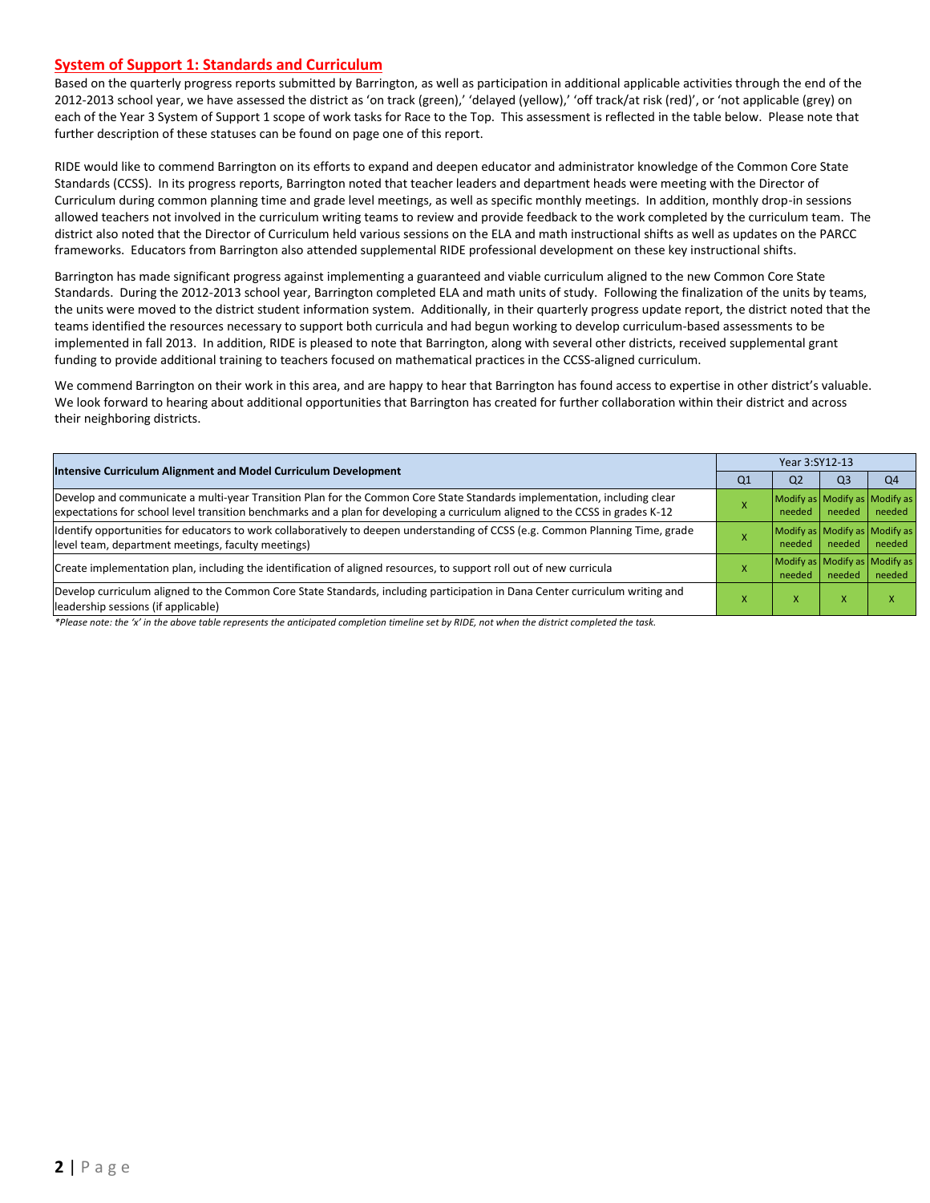#### **System of Support 1: Standards and Curriculum**

Based on the quarterly progress reports submitted by Barrington, as well as participation in additional applicable activities through the end of the 2012-2013 school year, we have assessed the district as 'on track (green),' 'delayed (yellow),' 'off track/at risk (red)', or 'not applicable (grey) on each of the Year 3 System of Support 1 scope of work tasks for Race to the Top. This assessment is reflected in the table below. Please note that further description of these statuses can be found on page one of this report.

RIDE would like to commend Barrington on its efforts to expand and deepen educator and administrator knowledge of the Common Core State Standards (CCSS). In its progress reports, Barrington noted that teacher leaders and department heads were meeting with the Director of Curriculum during common planning time and grade level meetings, as well as specific monthly meetings. In addition, monthly drop-in sessions allowed teachers not involved in the curriculum writing teams to review and provide feedback to the work completed by the curriculum team. The district also noted that the Director of Curriculum held various sessions on the ELA and math instructional shifts as well as updates on the PARCC frameworks. Educators from Barrington also attended supplemental RIDE professional development on these key instructional shifts.

Barrington has made significant progress against implementing a guaranteed and viable curriculum aligned to the new Common Core State Standards. During the 2012-2013 school year, Barrington completed ELA and math units of study. Following the finalization of the units by teams, the units were moved to the district student information system. Additionally, in their quarterly progress update report, the district noted that the teams identified the resources necessary to support both curricula and had begun working to develop curriculum-based assessments to be implemented in fall 2013. In addition, RIDE is pleased to note that Barrington, along with several other districts, received supplemental grant funding to provide additional training to teachers focused on mathematical practices in the CCSS-aligned curriculum.

We commend Barrington on their work in this area, and are happy to hear that Barrington has found access to expertise in other district's valuable. We look forward to hearing about additional opportunities that Barrington has created for further collaboration within their district and across their neighboring districts.

|                                                                                                                                                                                                                                                           |    | Year 3:SY12-13                          |        |        |  |  |
|-----------------------------------------------------------------------------------------------------------------------------------------------------------------------------------------------------------------------------------------------------------|----|-----------------------------------------|--------|--------|--|--|
| Intensive Curriculum Alignment and Model Curriculum Development                                                                                                                                                                                           | Q1 | Q2                                      | Q3     | Q4     |  |  |
| Develop and communicate a multi-year Transition Plan for the Common Core State Standards implementation, including clear<br>expectations for school level transition benchmarks and a plan for developing a curriculum aligned to the CCSS in grades K-12 |    | Modify as Modify as Modify as<br>needed | needed | needed |  |  |
| Identify opportunities for educators to work collaboratively to deepen understanding of CCSS (e.g. Common Planning Time, grade<br>level team, department meetings, faculty meetings)                                                                      |    | Modify as Modify as Modify as<br>needed | needed | needed |  |  |
| Create implementation plan, including the identification of aligned resources, to support roll out of new curricula                                                                                                                                       |    | Modify as Modify as Modify as<br>needed | needed | needed |  |  |
| Develop curriculum aligned to the Common Core State Standards, including participation in Dana Center curriculum writing and<br>leadership sessions (if applicable)                                                                                       |    | x                                       | X      | x      |  |  |
| *Blacks were the 60 to the change to his wave contracted and completed the change of his BIDF were the distributed as well also the tool.                                                                                                                 |    |                                         |        |        |  |  |

*\*Please note: the 'x' in the above table represents the anticipated completion timeline set by RIDE, not when the district completed the task.*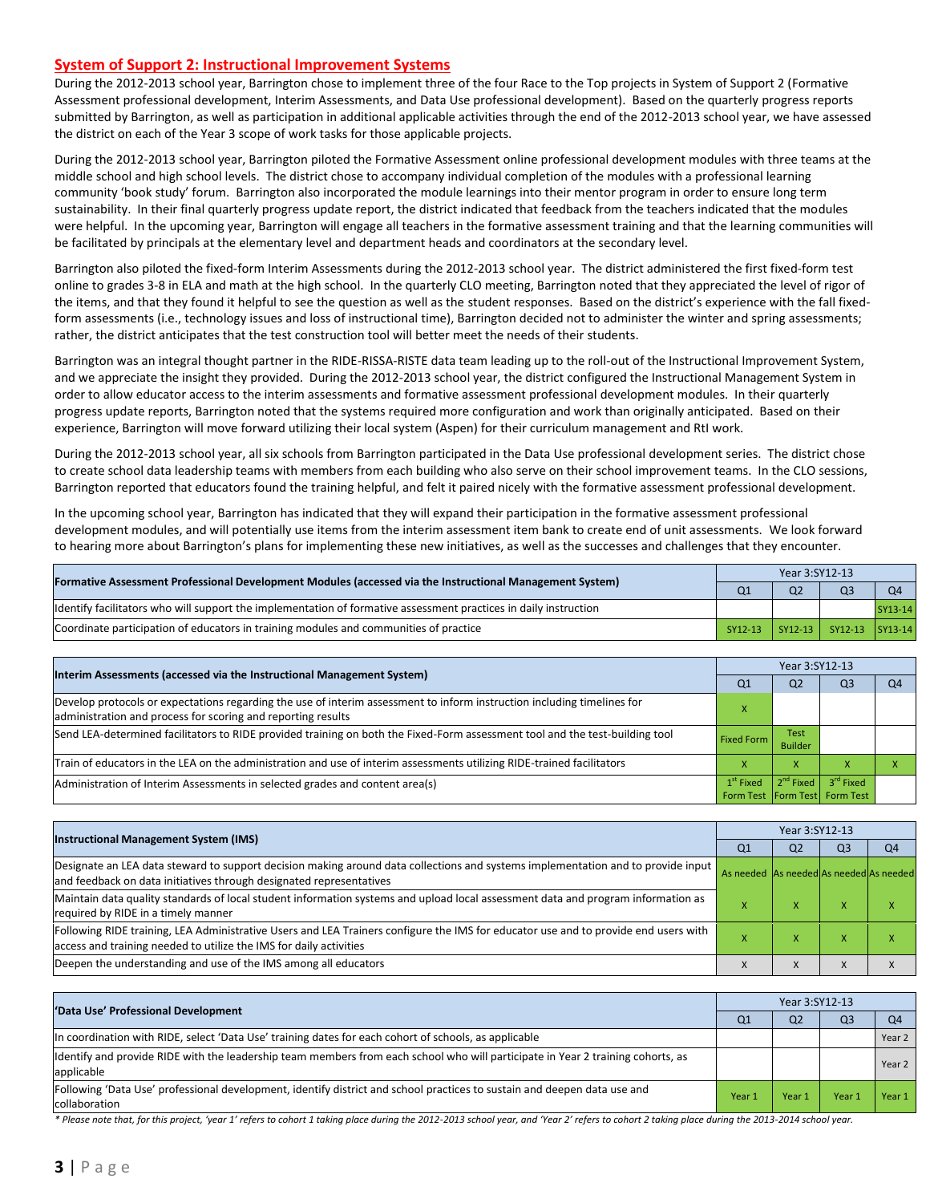#### **System of Support 2: Instructional Improvement Systems**

During the 2012-2013 school year, Barrington chose to implement three of the four Race to the Top projects in System of Support 2 (Formative Assessment professional development, Interim Assessments, and Data Use professional development). Based on the quarterly progress reports submitted by Barrington, as well as participation in additional applicable activities through the end of the 2012-2013 school year, we have assessed the district on each of the Year 3 scope of work tasks for those applicable projects.

During the 2012-2013 school year, Barrington piloted the Formative Assessment online professional development modules with three teams at the middle school and high school levels. The district chose to accompany individual completion of the modules with a professional learning community 'book study' forum. Barrington also incorporated the module learnings into their mentor program in order to ensure long term sustainability. In their final quarterly progress update report, the district indicated that feedback from the teachers indicated that the modules were helpful. In the upcoming year, Barrington will engage all teachers in the formative assessment training and that the learning communities will be facilitated by principals at the elementary level and department heads and coordinators at the secondary level.

Barrington also piloted the fixed-form Interim Assessments during the 2012-2013 school year. The district administered the first fixed-form test online to grades 3-8 in ELA and math at the high school. In the quarterly CLO meeting, Barrington noted that they appreciated the level of rigor of the items, and that they found it helpful to see the question as well as the student responses. Based on the district's experience with the fall fixedform assessments (i.e., technology issues and loss of instructional time), Barrington decided not to administer the winter and spring assessments; rather, the district anticipates that the test construction tool will better meet the needs of their students.

Barrington was an integral thought partner in the RIDE-RISSA-RISTE data team leading up to the roll-out of the Instructional Improvement System, and we appreciate the insight they provided. During the 2012-2013 school year, the district configured the Instructional Management System in order to allow educator access to the interim assessments and formative assessment professional development modules. In their quarterly progress update reports, Barrington noted that the systems required more configuration and work than originally anticipated. Based on their experience, Barrington will move forward utilizing their local system (Aspen) for their curriculum management and RtI work.

During the 2012-2013 school year, all six schools from Barrington participated in the Data Use professional development series. The district chose to create school data leadership teams with members from each building who also serve on their school improvement teams. In the CLO sessions, Barrington reported that educators found the training helpful, and felt it paired nicely with the formative assessment professional development.

In the upcoming school year, Barrington has indicated that they will expand their participation in the formative assessment professional development modules, and will potentially use items from the interim assessment item bank to create end of unit assessments. We look forward to hearing more about Barrington's plans for implementing these new initiatives, as well as the successes and challenges that they encounter.

| [Formative Assessment Professional Development Modules (accessed via the Instructional Management System)        | Q <sub>1</sub> | Q <sub>2</sub> | OЗ                      | O <sub>4</sub> |
|------------------------------------------------------------------------------------------------------------------|----------------|----------------|-------------------------|----------------|
| Identify facilitators who will support the implementation of formative assessment practices in daily instruction |                |                |                         | SY13-14        |
| Coordinate participation of educators in training modules and communities of practice                            | SY12-13        |                | SY12-13 SY12-13 SY13-14 |                |

|                                                                                                                                                                                         | Year 3:SY12-13    |                        |                                                                              |  |  |  |  |
|-----------------------------------------------------------------------------------------------------------------------------------------------------------------------------------------|-------------------|------------------------|------------------------------------------------------------------------------|--|--|--|--|
| Interim Assessments (accessed via the Instructional Management System)                                                                                                                  | Q1                | Q <sub>2</sub>         | Q3                                                                           |  |  |  |  |
| Develop protocols or expectations regarding the use of interim assessment to inform instruction including timelines for<br>administration and process for scoring and reporting results |                   |                        |                                                                              |  |  |  |  |
| Send LEA-determined facilitators to RIDE provided training on both the Fixed-Form assessment tool and the test-building tool                                                            | <b>Fixed Form</b> | Test<br><b>Builder</b> |                                                                              |  |  |  |  |
| Train of educators in the LEA on the administration and use of interim assessments utilizing RIDE-trained facilitators                                                                  |                   | х                      |                                                                              |  |  |  |  |
| Administration of Interim Assessments in selected grades and content area(s)                                                                                                            | $1st$ Fixed       |                        | 2 <sup>nd</sup> Fixed 3 <sup>rd</sup> Fixed<br>Form Test Form Test Form Test |  |  |  |  |

| <b>Instructional Management System (IMS)</b>                                                                                                                                                              |                                         | Year 3:SY12-13 |           |    |  |  |  |  |
|-----------------------------------------------------------------------------------------------------------------------------------------------------------------------------------------------------------|-----------------------------------------|----------------|-----------|----|--|--|--|--|
|                                                                                                                                                                                                           | Q1                                      | Q <sub>2</sub> | Q3        | Q4 |  |  |  |  |
| Designate an LEA data steward to support decision making around data collections and systems implementation and to provide input<br>and feedback on data initiatives through designated representatives   | As needed As needed As needed As needed |                |           |    |  |  |  |  |
| Maintain data quality standards of local student information systems and upload local assessment data and program information as<br>required by RIDE in a timely manner                                   |                                         | $\lambda$      | $\lambda$ |    |  |  |  |  |
| Following RIDE training, LEA Administrative Users and LEA Trainers configure the IMS for educator use and to provide end users with<br>access and training needed to utilize the IMS for daily activities |                                         |                |           |    |  |  |  |  |
| Deepen the understanding and use of the IMS among all educators                                                                                                                                           |                                         |                | $\lambda$ |    |  |  |  |  |

| 'Data Use' Professional Development                                                                                                           | Year 3:SY12-13 |                   |      |                |  |  |
|-----------------------------------------------------------------------------------------------------------------------------------------------|----------------|-------------------|------|----------------|--|--|
|                                                                                                                                               | Q1             | Q <sub>2</sub>    | Q3   | O <sub>4</sub> |  |  |
| In coordination with RIDE, select 'Data Use' training dates for each cohort of schools, as applicable                                         |                |                   |      | Year 2         |  |  |
| Identify and provide RIDE with the leadership team members from each school who will participate in Year 2 training cohorts, as<br>applicable |                |                   |      | Year 2         |  |  |
| Following 'Data Use' professional development, identify district and school practices to sustain and deepen data use and<br>collaboration     | Year 1         | Year <sub>1</sub> | Year | Year 1         |  |  |

\* Please note that, for this project, 'year 1' refers to cohort 1 taking place during the 2012-2013 school year, and 'Year 2' refers to cohort 2 taking place during the 2013-2014 school year.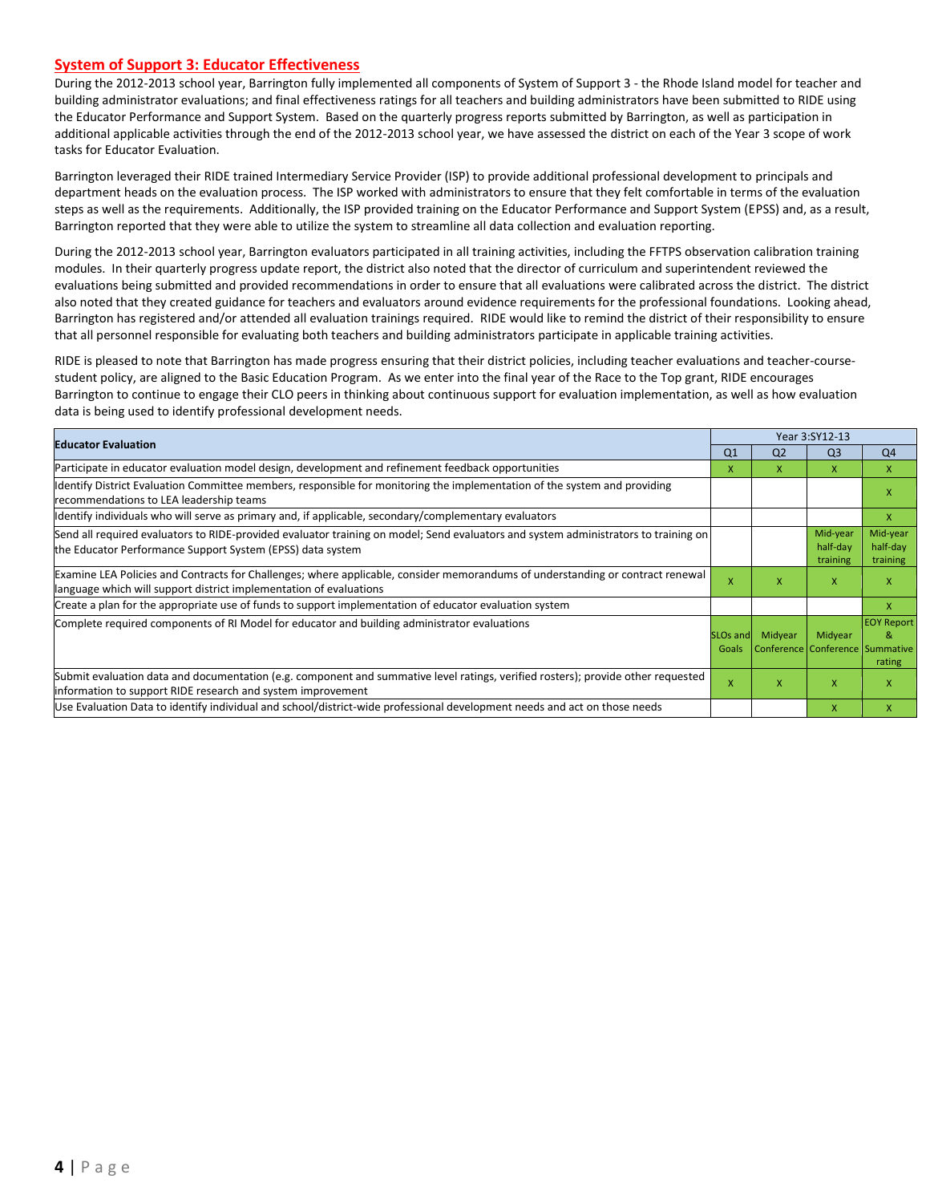#### **System of Support 3: Educator Effectiveness**

During the 2012-2013 school year, Barrington fully implemented all components of System of Support 3 - the Rhode Island model for teacher and building administrator evaluations; and final effectiveness ratings for all teachers and building administrators have been submitted to RIDE using the Educator Performance and Support System. Based on the quarterly progress reports submitted by Barrington, as well as participation in additional applicable activities through the end of the 2012-2013 school year, we have assessed the district on each of the Year 3 scope of work tasks for Educator Evaluation.

Barrington leveraged their RIDE trained Intermediary Service Provider (ISP) to provide additional professional development to principals and department heads on the evaluation process. The ISP worked with administrators to ensure that they felt comfortable in terms of the evaluation steps as well as the requirements. Additionally, the ISP provided training on the Educator Performance and Support System (EPSS) and, as a result, Barrington reported that they were able to utilize the system to streamline all data collection and evaluation reporting.

During the 2012-2013 school year, Barrington evaluators participated in all training activities, including the FFTPS observation calibration training modules. In their quarterly progress update report, the district also noted that the director of curriculum and superintendent reviewed the evaluations being submitted and provided recommendations in order to ensure that all evaluations were calibrated across the district. The district also noted that they created guidance for teachers and evaluators around evidence requirements for the professional foundations. Looking ahead, Barrington has registered and/or attended all evaluation trainings required. RIDE would like to remind the district of their responsibility to ensure that all personnel responsible for evaluating both teachers and building administrators participate in applicable training activities.

RIDE is pleased to note that Barrington has made progress ensuring that their district policies, including teacher evaluations and teacher-coursestudent policy, are aligned to the Basic Education Program. As we enter into the final year of the Race to the Top grant, RIDE encourages Barrington to continue to engage their CLO peers in thinking about continuous support for evaluation implementation, as well as how evaluation data is being used to identify professional development needs.

| <b>Educator Evaluation</b>                                                                                                                                                                           |                               |                                            | Year 3:SY12-13                   |                                  |
|------------------------------------------------------------------------------------------------------------------------------------------------------------------------------------------------------|-------------------------------|--------------------------------------------|----------------------------------|----------------------------------|
|                                                                                                                                                                                                      | Q <sub>1</sub>                | Q <sub>2</sub>                             | Q <sub>3</sub>                   | Q4                               |
| Participate in educator evaluation model design, development and refinement feedback opportunities                                                                                                   | x                             | X                                          | X                                | X                                |
| Identify District Evaluation Committee members, responsible for monitoring the implementation of the system and providing<br>recommendations to LEA leadership teams                                 |                               |                                            |                                  | x                                |
| ldentify individuals who will serve as primary and, if applicable, secondary/complementary evaluators                                                                                                |                               |                                            |                                  | X                                |
| Send all required evaluators to RIDE-provided evaluator training on model; Send evaluators and system administrators to training on<br>the Educator Performance Support System (EPSS) data system    |                               |                                            | Mid-year<br>half-day<br>training | Mid-year<br>half-day<br>training |
| Examine LEA Policies and Contracts for Challenges; where applicable, consider memorandums of understanding or contract renewal<br>language which will support district implementation of evaluations | x                             | x                                          | X                                | x                                |
| Create a plan for the appropriate use of funds to support implementation of educator evaluation system                                                                                               |                               |                                            |                                  | X                                |
| Complete required components of RI Model for educator and building administrator evaluations                                                                                                         | SLO <sub>s</sub> and<br>Goals | Midyear<br>Conference Conference Summative | Midyear                          | <b>EOY Report</b><br>&<br>rating |
| Submit evaluation data and documentation (e.g. component and summative level ratings, verified rosters); provide other requested<br>information to support RIDE research and system improvement      | $\boldsymbol{\mathsf{x}}$     | X                                          | $\mathsf{x}$                     | x                                |
| Use Evaluation Data to identify individual and school/district-wide professional development needs and act on those needs                                                                            |                               |                                            | $\mathsf{x}$                     | x                                |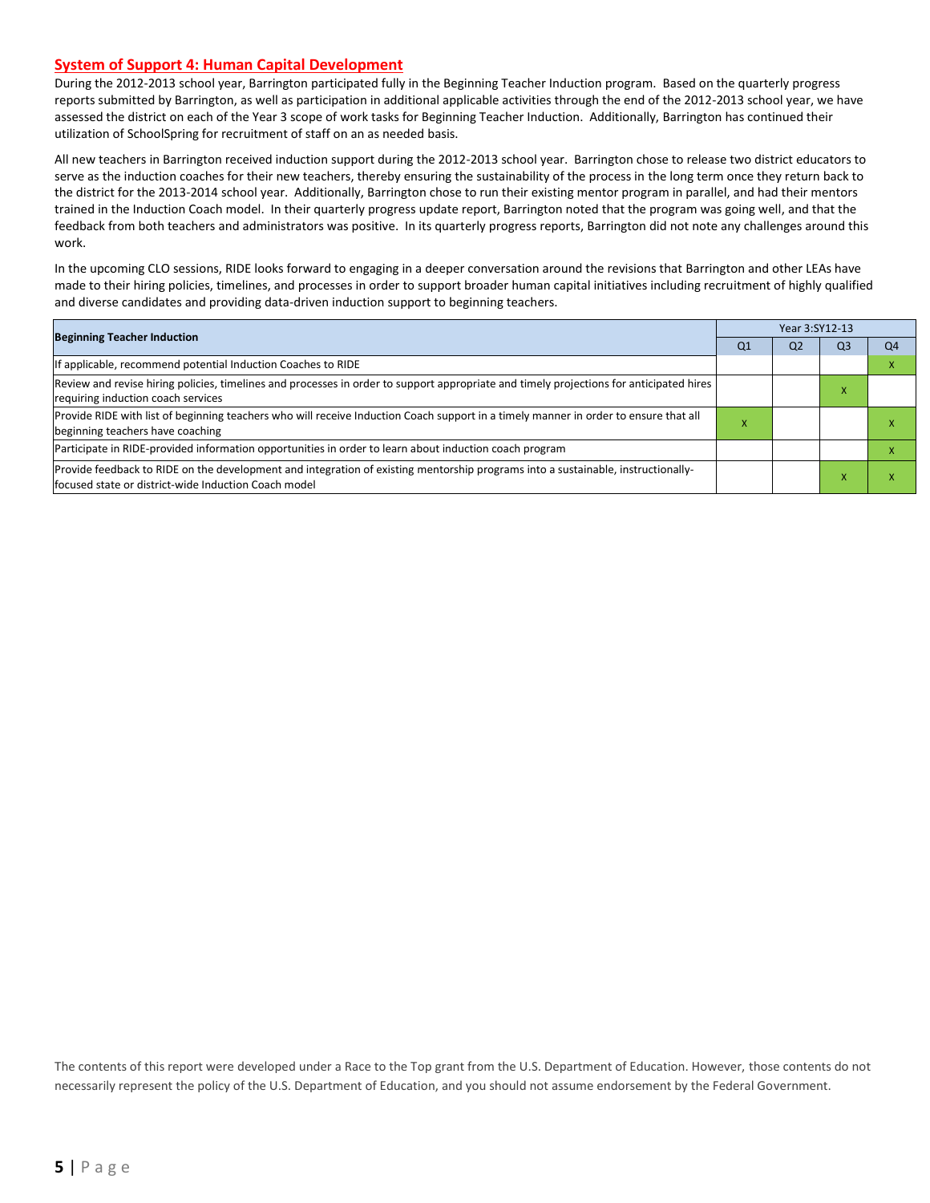#### **System of Support 4: Human Capital Development**

During the 2012-2013 school year, Barrington participated fully in the Beginning Teacher Induction program. Based on the quarterly progress reports submitted by Barrington, as well as participation in additional applicable activities through the end of the 2012-2013 school year, we have assessed the district on each of the Year 3 scope of work tasks for Beginning Teacher Induction. Additionally, Barrington has continued their utilization of SchoolSpring for recruitment of staff on an as needed basis.

All new teachers in Barrington received induction support during the 2012-2013 school year. Barrington chose to release two district educators to serve as the induction coaches for their new teachers, thereby ensuring the sustainability of the process in the long term once they return back to the district for the 2013-2014 school year. Additionally, Barrington chose to run their existing mentor program in parallel, and had their mentors trained in the Induction Coach model. In their quarterly progress update report, Barrington noted that the program was going well, and that the feedback from both teachers and administrators was positive. In its quarterly progress reports, Barrington did not note any challenges around this work.

In the upcoming CLO sessions, RIDE looks forward to engaging in a deeper conversation around the revisions that Barrington and other LEAs have made to their hiring policies, timelines, and processes in order to support broader human capital initiatives including recruitment of highly qualified and diverse candidates and providing data-driven induction support to beginning teachers.

| <b>Beginning Teacher Induction</b>                                                                                                                                                       |    | Year 3:SY12-13 |                |                |  |  |
|------------------------------------------------------------------------------------------------------------------------------------------------------------------------------------------|----|----------------|----------------|----------------|--|--|
|                                                                                                                                                                                          | Q1 | Q <sub>2</sub> | Q <sub>3</sub> | Q <sub>4</sub> |  |  |
| If applicable, recommend potential Induction Coaches to RIDE                                                                                                                             |    |                |                |                |  |  |
| Review and revise hiring policies, timelines and processes in order to support appropriate and timely projections for anticipated hires<br>requiring induction coach services            |    |                |                |                |  |  |
| Provide RIDE with list of beginning teachers who will receive Induction Coach support in a timely manner in order to ensure that all<br>beginning teachers have coaching                 |    |                |                |                |  |  |
| Participate in RIDE-provided information opportunities in order to learn about induction coach program                                                                                   |    |                |                |                |  |  |
| Provide feedback to RIDE on the development and integration of existing mentorship programs into a sustainable, instructionally-<br>focused state or district-wide Induction Coach model |    |                |                |                |  |  |

The contents of this report were developed under a Race to the Top grant from the U.S. Department of Education. However, those contents do not necessarily represent the policy of the U.S. Department of Education, and you should not assume endorsement by the Federal Government.